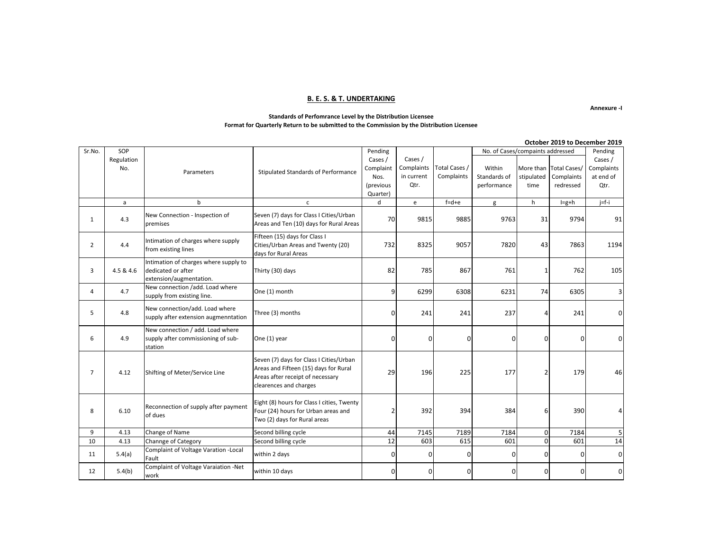### **B. E. S. & T. UNDERTAKING**

**Annexure -I**

#### **Standards of Perfomrance Level by the Distribution Licensee Format for Quarterly Return to be submitted to the Commission by the Distribution Licensee**

|                | SOP        |                                                                                                                                                                      |                                                                                                                                                |              |                                   |               |                                             | OLLODEI ZUIJ LU DELENNEI ZUIJ |                     |             |
|----------------|------------|----------------------------------------------------------------------------------------------------------------------------------------------------------------------|------------------------------------------------------------------------------------------------------------------------------------------------|--------------|-----------------------------------|---------------|---------------------------------------------|-------------------------------|---------------------|-------------|
| Sr.No.         |            |                                                                                                                                                                      |                                                                                                                                                | Pending      |                                   |               | No. of Cases/compaints addressed<br>Pending |                               |                     |             |
|                | Regulation |                                                                                                                                                                      |                                                                                                                                                | Cases /      | Cases /                           |               |                                             |                               |                     | Cases /     |
|                | No.        | Parameters                                                                                                                                                           | Stipulated Standards of Performance                                                                                                            | Complaint    | Complaints                        | Total Cases / | Within                                      | More than                     | <b>Total Cases/</b> | Complaints  |
|                |            |                                                                                                                                                                      |                                                                                                                                                | Nos.         | in current                        | Complaints    | Standards of                                | stipulated                    | Complaints          | at end of   |
|                |            |                                                                                                                                                                      |                                                                                                                                                | (previous    | Qtr.                              |               | performance                                 | time                          | redressed           | Qtr.        |
|                |            |                                                                                                                                                                      |                                                                                                                                                | Quarter)     |                                   |               |                                             |                               |                     |             |
|                | a          | $\mathsf b$                                                                                                                                                          | $\mathsf{c}\,$                                                                                                                                 | d            | $\mathsf{e}% _{t}\left( t\right)$ | $f = d + e$   | g                                           | h                             | $I=g+h$             | $j=f-i$     |
| $\mathbf{1}$   | 4.3        | New Connection - Inspection of<br>premises                                                                                                                           | Seven (7) days for Class I Cities/Urban<br>Areas and Ten (10) days for Rural Areas                                                             | 70           | 9815                              | 9885          | 9763                                        | 31                            | 9794                | 91          |
| $\overline{2}$ | 4.4        | Intimation of charges where supply<br>from existing lines                                                                                                            | Fifteen (15) days for Class I<br>Cities/Urban Areas and Twenty (20)<br>days for Rural Areas                                                    | 732          | 8325                              | 9057          | 7820                                        | 43                            | 7863                | 1194        |
| 3              | 4.5 & 4.6  | Intimation of charges where supply to<br>dedicated or after<br>extension/augmentation.                                                                               | Thirty (30) days                                                                                                                               | 82           | 785                               | 867           | 761                                         |                               | 762                 | 105         |
| 4              | 4.7        | New connection /add. Load where<br>supply from existing line.                                                                                                        | One (1) month                                                                                                                                  | 9            | 6299                              | 6308          | 6231                                        | 74                            | 6305                | 3           |
| 5              | 4.8        | New connection/add. Load where<br>supply after extension augmenntation                                                                                               | Three (3) months                                                                                                                               | 0            | 241                               | 241           | 237                                         | 4                             | 241                 | 0           |
| 6              | 4.9        | New connection / add. Load where<br>supply after commissioning of sub-<br>station                                                                                    | One (1) year                                                                                                                                   | 0            | 0                                 |               | O                                           | O                             | n                   | $\mathbf 0$ |
| $\overline{7}$ | 4.12       | Shifting of Meter/Service Line                                                                                                                                       | Seven (7) days for Class I Cities/Urban<br>Areas and Fifteen (15) days for Rural<br>Areas after receipt of necessary<br>clearences and charges | 29           | 196                               | 225           | 177                                         | $\overline{2}$                | 179                 | 46          |
| 8              | 6.10       | Eight (8) hours for Class I cities, Twenty<br>Reconnection of supply after payment<br>Four (24) hours for Urban areas and<br>of dues<br>Two (2) days for Rural areas |                                                                                                                                                |              | 392                               | 394           | 384                                         | 6                             | 390                 | 4           |
| 9              | 4.13       | Change of Name                                                                                                                                                       | Second billing cycle                                                                                                                           | 44           | 7145                              | 7189          | 7184                                        | $\overline{0}$                | 7184                | 5           |
| 10             | 4.13       | Channge of Category                                                                                                                                                  | Second billing cycle                                                                                                                           | 12           | 603                               | 615           | 601                                         | 0                             | 601                 | 14          |
| 11             | 5.4(a)     | Complaint of Voltage Varation - Local<br>Fault                                                                                                                       | within 2 days                                                                                                                                  | $\Omega$     | 0                                 |               | 0                                           | $\Omega$                      | $\Omega$            | $\mathbf 0$ |
| 12             | 5.4(b)     | Complaint of Voltage Varaiation -Net<br>work                                                                                                                         | within 10 days                                                                                                                                 | <sup>0</sup> | 0                                 |               | 0                                           | $\Omega$                      | n                   | 0           |

#### **October 2019 to December 2019**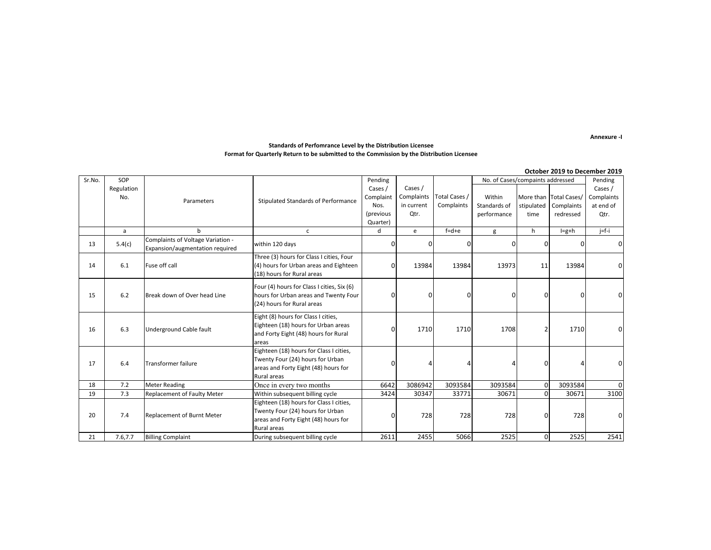**Annexure -I**

#### **Standards of Perfomrance Level by the Distribution Licensee Format for Quarterly Return to be submitted to the Commission by the Distribution Licensee**

|        |            |                                                                      |                                            |           |            |               |                                  |              | October 2019 to December 2019 |            |
|--------|------------|----------------------------------------------------------------------|--------------------------------------------|-----------|------------|---------------|----------------------------------|--------------|-------------------------------|------------|
| Sr.No. | SOP        |                                                                      |                                            | Pending   |            |               | No. of Cases/compaints addressed |              |                               | Pending    |
|        | Regulation |                                                                      |                                            | Cases /   | Cases /    |               |                                  |              |                               | Cases /    |
|        | No.        |                                                                      | Stipulated Standards of Performance        | Complaint | Complaints | Total Cases / | Within                           |              | More than Total Cases/        | Complaints |
|        |            | Parameters                                                           |                                            | Nos.      | in current | Complaints    | Standards of                     | stipulated   | Complaints                    | at end of  |
|        |            |                                                                      |                                            | (previous | Qtr.       |               | performance                      | time         | redressed                     | Qtr.       |
|        |            |                                                                      |                                            | Quarter)  |            |               |                                  |              |                               |            |
|        | a          | b                                                                    | $\mathsf{C}$                               | d         | e          | $f = d + e$   | g                                | h            | $I=g+h$                       | $j=f-i$    |
| 13     | 5.4(c)     | Complaints of Voltage Variation -<br>Expansion/augmentation required | within 120 days                            |           | 0          |               | <sup>n</sup>                     | 0            | 0                             | 0          |
|        |            |                                                                      | Three (3) hours for Class I cities, Four   |           |            |               |                                  |              |                               |            |
| 14     | 6.1        | Fuse off call                                                        | (4) hours for Urban areas and Eighteen     |           | 13984      | 13984         | 13973                            | 11           | 13984                         | 0          |
|        |            |                                                                      | (18) hours for Rural areas                 |           |            |               |                                  |              |                               |            |
|        |            |                                                                      | Four (4) hours for Class I cities, Six (6) |           |            |               |                                  |              |                               |            |
| 15     | 6.2        | Break down of Over head Line                                         | hours for Urban areas and Twenty Four      |           | 0          | n             | 0                                | 0            | 0                             | 0          |
|        |            |                                                                      | (24) hours for Rural areas                 |           |            |               |                                  |              |                               |            |
|        |            |                                                                      |                                            |           |            |               |                                  |              |                               |            |
|        | 6.3        | <b>Underground Cable fault</b>                                       | Eight (8) hours for Class I cities,        |           | 1710       | 1710          | 1708                             | 2            | 1710                          |            |
| 16     |            |                                                                      | Eighteen (18) hours for Urban areas        |           |            |               |                                  |              |                               |            |
|        |            |                                                                      | and Forty Eight (48) hours for Rural       |           |            |               |                                  |              |                               |            |
|        |            |                                                                      | areas                                      |           |            |               |                                  |              |                               |            |
|        |            | <b>Transformer failure</b>                                           | Eighteen (18) hours for Class I cities,    | U         | $\Delta$   |               |                                  |              |                               | 0          |
| 17     | 6.4        |                                                                      | Twenty Four (24) hours for Urban           |           |            |               |                                  | 0            |                               |            |
|        |            |                                                                      | areas and Forty Eight (48) hours for       |           |            |               |                                  |              |                               |            |
|        |            |                                                                      | Rural areas                                |           |            |               |                                  |              |                               |            |
| 18     | 7.2        | <b>Meter Reading</b>                                                 | Once in every two months                   | 6642      | 3086942    | 3093584       | 3093584                          | $\mathbf{0}$ | 3093584                       | $\Omega$   |
| 19     | 7.3        | <b>Replacement of Faulty Meter</b>                                   | Within subsequent billing cycle            | 3424      | 30347      | 33771         | 30671                            | 0            | 30671                         | 3100       |
|        | 7.4        | Replacement of Burnt Meter                                           | Eighteen (18) hours for Class I cities,    |           | 728        | 728           | 728                              | 0            |                               |            |
| 20     |            |                                                                      | Twenty Four (24) hours for Urban           |           |            |               |                                  |              | 728                           | $\Omega$   |
|        |            |                                                                      | areas and Forty Eight (48) hours for       |           |            |               |                                  |              |                               |            |
|        |            |                                                                      | Rural areas                                |           |            |               |                                  |              |                               |            |
| 21     | 7.6,7.7    | <b>Billing Complaint</b>                                             | During subsequent billing cycle            | 2611      | 2455       | 5066          | 2525                             | $\mathbf{0}$ | 2525                          | 2541       |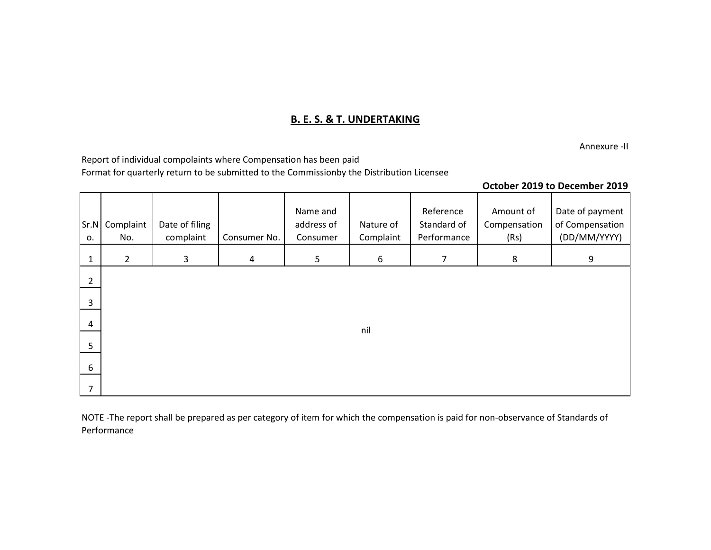## **B. E. S. & T. UNDERTAKING**

Annexure -II

Report of individual compolaints where Compensation has been paid Format for quarterly return to be submitted to the Commissionby the Distribution Licensee

## **October 2019 to December 2019**

| Sr.N<br>0.     | Complaint<br>No. | Date of filing<br>complaint | Consumer No.   | Name and<br>address of<br>Consumer | Nature of<br>Complaint | Reference<br>Standard of<br>Performance | Amount of<br>Compensation<br>(Rs) | Date of payment<br>of Compensation<br>(DD/MM/YYYY) |
|----------------|------------------|-----------------------------|----------------|------------------------------------|------------------------|-----------------------------------------|-----------------------------------|----------------------------------------------------|
| $\mathbf{1}$   | $\overline{2}$   | 3                           | $\overline{4}$ | 5                                  | 6                      | $\overline{7}$                          | 8                                 | 9                                                  |
| $\overline{2}$ |                  |                             |                |                                    |                        |                                         |                                   |                                                    |
| 3              |                  |                             |                |                                    |                        |                                         |                                   |                                                    |
| $\overline{4}$ |                  |                             |                |                                    | nil                    |                                         |                                   |                                                    |
| 5              |                  |                             |                |                                    |                        |                                         |                                   |                                                    |
| 6              |                  |                             |                |                                    |                        |                                         |                                   |                                                    |
| $\overline{7}$ |                  |                             |                |                                    |                        |                                         |                                   |                                                    |

NOTE -The report shall be prepared as per category of item for which the compensation is paid for non-observance of Standards of Performance